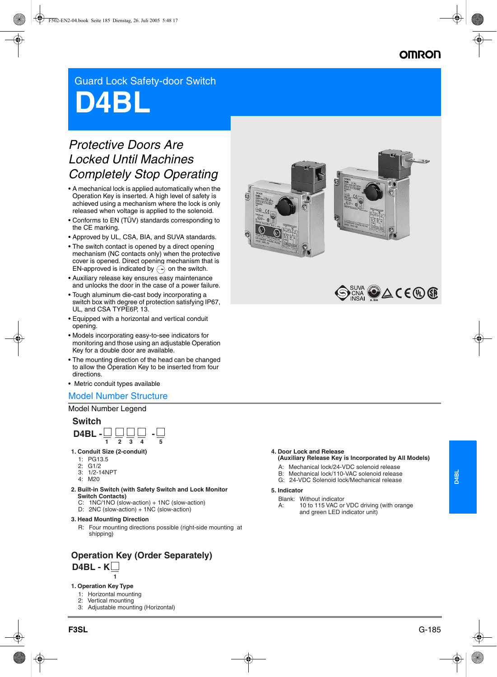# **OMROI**

# Guard Lock Safety-door Switch

# **D4B**

# *Protective Doors Are Locked Until Machines Completely Stop Operating*

- A mechanical lock is applied automatically when the Operation Key is inserted. A high level of safety is achieved using a mechanism where the lock is only released when voltage is applied to the solenoid.
- Conforms to EN (TÜV) standards corresponding to the CE marking.
- Approved by UL, CSA, BIA, and SUVA standards.
- The switch contact is opened by a direct opening mechanism (NC contacts only) when the protective cover is opened. Direct opening mechanism that is EN-approved is indicated by  $\bigoplus$  on the switch.
- Auxiliary release key ensures easy maintenance and unlocks the door in the case of a power failure.
- Tough aluminum die-cast body incorporating a switch box with degree of protection satisfying IP67, UL, and CSA TYPE6P, 13.
- Equipped with a horizontal and vertical conduit opening.
- Models incorporating easy-to-see indicators for monitoring and those using an adjustable Operation Key for a double door are available.
- The mounting direction of the head can be changed to allow the Operation Key to be inserted from four directions.
- Metric conduit types available

#### Model Number Structure

#### Model Number Legend

#### **Switch**



#### **1. Conduit Size (2-conduit)**

- 1: PG13.5<br>2: G1/2
- $G1/2$
- 3: 1/2-14NPT
- 4: M20
- **2. Built-in Switch (with Safety Switch and Lock Monitor Switch Contacts)**
	- C: 1NC/1NO (slow-action) + 1NC (slow-action)
	- D: 2NC (slow-action) + 1NC (slow-action)

#### **3. Head Mounting Direction**

R: Four mounting directions possible (right-side mounting at shipping)

#### **1 D4BL - K Operation Key (Order Separately)**

#### **1. Operation Key Type**

- 1: Horizontal mounting<br>2: Vertical mounting
- Vertical mounting
- 3: Adjustable mounting (Horizontal)







#### **4. Door Lock and Release**

#### **(Auxiliary Release Key is Incorporated by All Models)**

- A: Mechanical lock/24-VDC solenoid release<br>B: Mechanical lock/110-VAC solenoid release
- Mechanical lock/110-VAC solenoid release
- G: 24-VDC Solenoid lock/Mechanical release

#### **5. Indicator**

- Blank: Without indicator<br>A: 10 to 115 VAC or
	- 10 to 115 VAC or VDC driving (with orange and green LED indicator unit)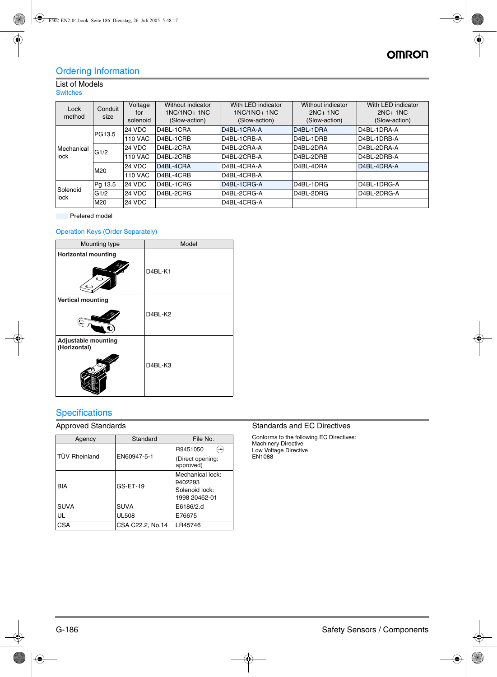# Ordering Information

### List of Models

**Switches** 

| Lock             | Conduit       | Voltage        | Without indicator      | With LED indicator | Without indicator      | With LED indicator |
|------------------|---------------|----------------|------------------------|--------------------|------------------------|--------------------|
| method           | size          | for            | $1NC/1NO+1NC$          | $1NC/1NO+1NC$      | $2NC+1NC$              | $2NC+1NC$          |
|                  |               | solenoid       | (Slow-action)          | (Slow-action)      | (Slow-action)          | (Slow-action)      |
|                  | <b>PG13.5</b> | 24 VDC         | D4BL-1CRA              | D4BL-1CRA-A        | D <sub>4</sub> BL-1DRA | D4BL-1DRA-A        |
|                  |               | <b>110 VAC</b> | D4BL-1CRB              | D4BL-1CRB-A        | D4BL-1DRB              | D4BL-1DRB-A        |
| Mechanical       | G1/2          | <b>24 VDC</b>  | D4BL-2CRA              | D4BL-2CRA-A        | D4BL-2DRA              | D4BL-2DRA-A        |
| lock             |               | <b>110 VAC</b> | D4BL-2CRB              | D4BL-2CRB-A        | D4BL-2DRB              | D4BL-2DRB-A        |
|                  | M20           | <b>24 VDC</b>  | D <sub>4</sub> BI-4CRA | D4BL-4CRA-A        | D4BL-4DRA              | D4BL-4DRA-A        |
|                  |               | <b>110 VAC</b> | D4BL-4CRB              | D4BL-4CRB-A        |                        |                    |
| Solenoid<br>lock | Pg 13.5       | <b>24 VDC</b>  | D4BL-1CRG              | D4BL-1CRG-A        | D4BL-1DRG              | D4BL-1DRG-A        |
|                  | G1/2          | <b>24 VDC</b>  | D4BL-2CRG              | D4BL-2CRG-A        | D4BL-2DRG              | D4BL-2DRG-A        |
|                  | M20           | <b>24 VDC</b>  |                        | D4BL-4CRG-A        |                        |                    |

**Prefered model** 

### Operation Keys (Order Separately)

| Mounting type                              | Model   |
|--------------------------------------------|---------|
| <b>Horizontal mounting</b><br>$\cup$       | D4BL-K1 |
| <b>Vertical mounting</b>                   | D4BL-K2 |
| <b>Adjustable mounting</b><br>(Horizontal) | D4BL-K3 |

# **Specifications**

| Agency               | Standard         | File No.                                                       |
|----------------------|------------------|----------------------------------------------------------------|
|                      |                  | R9451050                                                       |
| <b>TÜV Rheinland</b> | EN60947-5-1      | (Direct opening:<br>approved)                                  |
| <b>BIA</b>           | $GS-ET-19$       | Mechanical lock:<br>9402293<br>Solenoid lock:<br>1998 20462-01 |
| <b>SUVA</b>          | <b>SUVA</b>      | E6186/2.d                                                      |
| UL                   | <b>UL508</b>     | E76675                                                         |
| CSA                  | CSA C22.2, No.14 | LR45746                                                        |

#### Approved Standards **Standards** Standards and EC Directives

Conforms to the following EC Directives: Machinery Directive Low Voltage Directive EN1088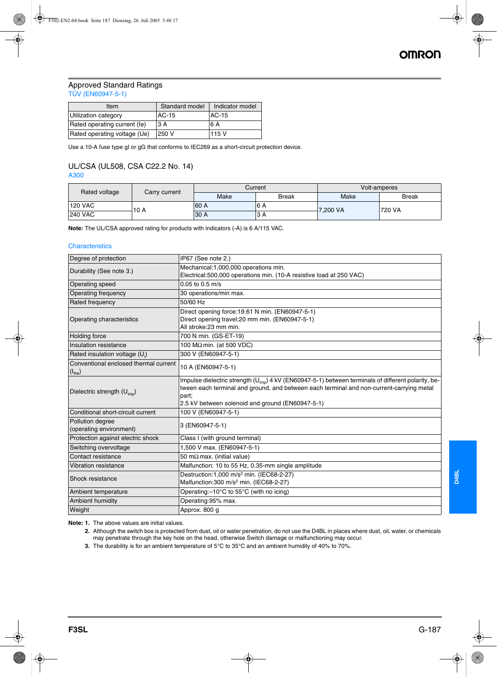#### Approved Standard Ratings TÜV (EN60947-5-1)

| Item                         | Standard model | Indicator model |
|------------------------------|----------------|-----------------|
| Utilization category         | $AC-15$        | $AC-15$         |
| Rated operating current (le) | 3 A            | 6 A             |
| Rated operating voltage (Ue) | 250 V          | 115 V           |

Use a 10-A fuse type gI or gG that conforms to IEC269 as a short-circuit protection device.

#### UL/CSA (UL508, CSA C22.2 No. 14) A300

| Rated voltage  | Carry current | Current |              | <b>Volt-amperes</b> |              |
|----------------|---------------|---------|--------------|---------------------|--------------|
|                |               | Make    | <b>Break</b> | Make                | <b>Break</b> |
| <b>120 VAC</b> | 10 A          | 60 A    | 16A          | 7,200 VA            | 720 VA       |
| <b>240 VAC</b> |               | 30 A    | 3 A          |                     |              |

**Note:** The UL/CSA approved rating for products with indicators (-A) is 6 A/115 VAC.

#### **Characteristics**

| Degree of protection                                         | IP67 (See note 2.)                                                                                                                                                                                                                                                      |  |  |
|--------------------------------------------------------------|-------------------------------------------------------------------------------------------------------------------------------------------------------------------------------------------------------------------------------------------------------------------------|--|--|
| Durability (See note 3.)                                     | Mechanical:1,000,000 operations min.                                                                                                                                                                                                                                    |  |  |
|                                                              | Electrical: 500,000 operations min. (10-A resistive load at 250 VAC)                                                                                                                                                                                                    |  |  |
| Operating speed                                              | $0.05$ to $0.5$ m/s                                                                                                                                                                                                                                                     |  |  |
| Operating frequency                                          | 30 operations/min max.                                                                                                                                                                                                                                                  |  |  |
| Rated frequency                                              | 50/60 Hz                                                                                                                                                                                                                                                                |  |  |
|                                                              | Direct opening force: 19.61 N min. (EN60947-5-1)                                                                                                                                                                                                                        |  |  |
| Operating characteristics                                    | Direct opening travel:20 mm min. (EN60947-5-1)                                                                                                                                                                                                                          |  |  |
|                                                              | All stroke: 23 mm min.                                                                                                                                                                                                                                                  |  |  |
| <b>Holding force</b>                                         | 700 N min. (GS-ET-19)                                                                                                                                                                                                                                                   |  |  |
| Insulation resistance                                        | 100 $M\Omega$ min. (at 500 VDC)                                                                                                                                                                                                                                         |  |  |
| Rated insulation voltage (U <sub>i</sub> )                   | 300 V (EN60947-5-1)                                                                                                                                                                                                                                                     |  |  |
| Conventional enclosed thermal current<br>(I <sub>the</sub> ) | 10 A (EN60947-5-1)                                                                                                                                                                                                                                                      |  |  |
| Dielectric strength $(U_{\text{imn}})$                       | Impulse dielectric strength $(U_{\text{imp}})$ 4 kV (EN60947-5-1) between terminals of different polarity, be-<br>tween each terminal and ground, and between each terminal and non-current-carrying metal<br>part:<br>2.5 kV between solenoid and ground (EN60947-5-1) |  |  |
| Conditional short-circuit current                            | 100 V (EN60947-5-1)                                                                                                                                                                                                                                                     |  |  |
| Pollution degree<br>(operating environment)                  | 3 (EN60947-5-1)                                                                                                                                                                                                                                                         |  |  |
| Protection against electric shock                            | Class I (with ground terminal)                                                                                                                                                                                                                                          |  |  |
| Switching overvoltage                                        | 1,500 V max. (EN60947-5-1)                                                                                                                                                                                                                                              |  |  |
| Contact resistance                                           | 50 m $\Omega$ max. (initial value)                                                                                                                                                                                                                                      |  |  |
| <b>Vibration resistance</b>                                  | Malfunction: 10 to 55 Hz, 0.35-mm single amplitude                                                                                                                                                                                                                      |  |  |
| Shock resistance                                             | Destruction:1,000 m/s <sup>2</sup> min. (IEC68-2-27)                                                                                                                                                                                                                    |  |  |
|                                                              | Malfunction:300 m/s <sup>2</sup> min. (IEC68-2-27)                                                                                                                                                                                                                      |  |  |
| Ambient temperature                                          | Operating:-10°C to 55°C (with no icing)                                                                                                                                                                                                                                 |  |  |
| Ambient humidity                                             | Operating:95% max.                                                                                                                                                                                                                                                      |  |  |
| Weight                                                       | Approx. 800 g                                                                                                                                                                                                                                                           |  |  |

**Note: 1.** The above values are initial values.

**2.** Although the switch box is protected from dust, oil or water penetration, do not use the D4BL in places where dust, oil, water, or chemicals may penetrate through the key hole on the head, otherwise Switch damage or malfunctioning may occur.

**3.** The durability is for an ambient temperature of 5°C to 35°C and an ambient humidity of 40% to 70%.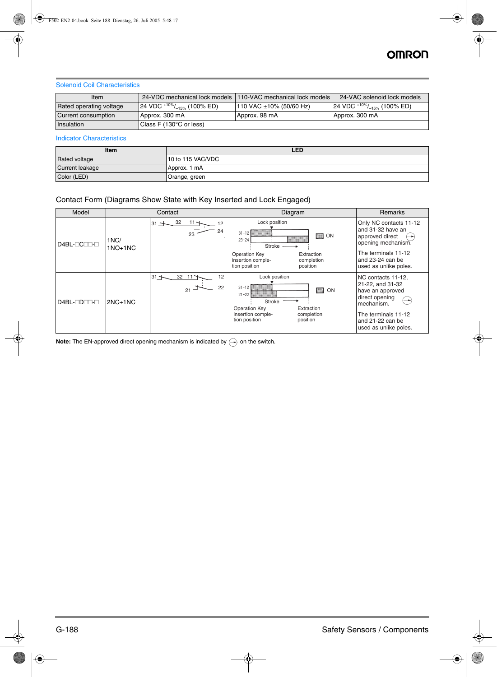#### Solenoid Coil Characteristics

| Item                    |                                         | 24-VDC mechanical lock models 110-VAC mechanical lock models | 24-VAC solenoid lock models              |
|-------------------------|-----------------------------------------|--------------------------------------------------------------|------------------------------------------|
| Rated operating voltage | ∦24 VDC <sup>+10%/</sup> –15% (100% ED) | 110 VAC ±10% (50/60 Hz)                                      | $ $ 24 VDC $^{+10\%}/_{-15\%}$ (100% ED) |
| Current consumption     | Approx. 300 mA                          | Approx. 98 mA                                                | Approx. 300 mA                           |
| Insulation              | Class F (130°C or less)                 |                                                              |                                          |

#### Indicator Characteristics

| Item                   | <b>LED</b>        |
|------------------------|-------------------|
| Rated voltage          | 10 to 115 VAC/VDC |
| <b>Current leakage</b> | Approx. 1 mA      |
| Color (LED)            | Orange, green     |

#### Contact Form (Diagrams Show State with Key Inserted and Lock Engaged)

| Model         |                   | Contact                                   | Diagram                                                                                                                                                                       | Remarks                                                                                                                                                        |
|---------------|-------------------|-------------------------------------------|-------------------------------------------------------------------------------------------------------------------------------------------------------------------------------|----------------------------------------------------------------------------------------------------------------------------------------------------------------|
| D4BL-OCOD-O   | 1NC/<br>$1NO+1NC$ | 32<br>$31 +$<br>12                        | Lock position<br>$31 - 12$<br>⊠ ON<br>$23 - 24$<br>Stroke                                                                                                                     | Only NC contacts 11-12<br>and 31-32 have an<br>approved direct<br>opening mechanism.<br>The terminals 11-12                                                    |
|               |                   |                                           | <b>Operation Key</b><br>Extraction<br>insertion comple-<br>completion<br>tion position<br>position                                                                            | and 23-24 can be<br>used as unlike poles.                                                                                                                      |
| $D4BL-TDTT-T$ | $2NC+1NC$         | 12<br>$32 \quad 11$<br>$31 +$<br>22<br>21 | Lock position<br>$31 - 12$<br><b>Billi</b><br>ON<br>$21 - 22$<br>Stroke<br><b>Operation Key</b><br>Extraction<br>insertion comple-<br>completion<br>tion position<br>position | NC contacts 11-12,<br>21-22, and 31-32<br>have an approved<br>direct opening<br>mechanism.<br>The terminals 11-12<br>and 21-22 can be<br>used as unlike poles. |

**Note:** The EN-approved direct opening mechanism is indicated by  $\bigoplus$  on the switch.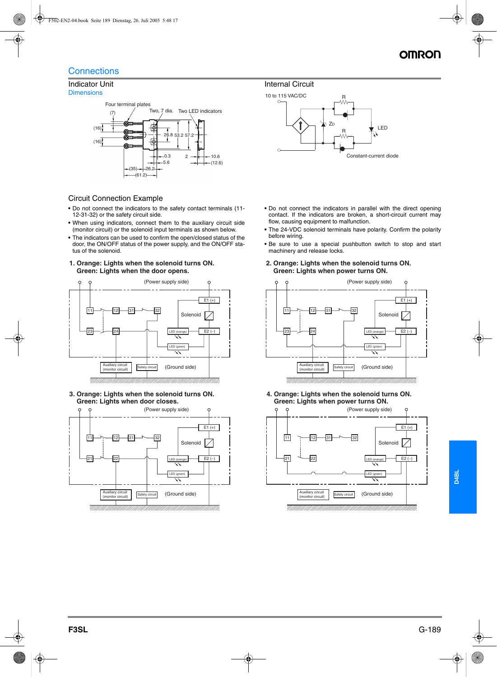## **Connections**

# Indicator Unit





### Circuit Connection Example

- **•** Do not connect the indicators to the safety contact terminals (11- 12-31-32) or the safety circuit side.
- **•** When using indicators, connect them to the auxiliary circuit side (monitor circuit) or the solenoid input terminals as shown below.
- **•** The indicators can be used to confirm the open/closed status of the door, the ON/OFF status of the power supply, and the ON/OFF status of the solenoid.





**3. Orange: Lights when the solenoid turns ON. Green: Lights when door closes.**



#### Internal Circuit



- **•** Do not connect the indicators in parallel with the direct opening contact. If the indicators are broken, a short-circuit current may flow, causing equipment to malfunction.
- **•** The 24-VDC solenoid terminals have polarity. Confirm the polarity before wiring.
- **•** Be sure to use a special pushbutton switch to stop and start machinery and release locks.
- **2. Orange: Lights when the solenoid turns ON. Green: Lights when power turns ON.**



**4. Orange: Lights when the solenoid turns ON. Green: Lights when power turns ON.**

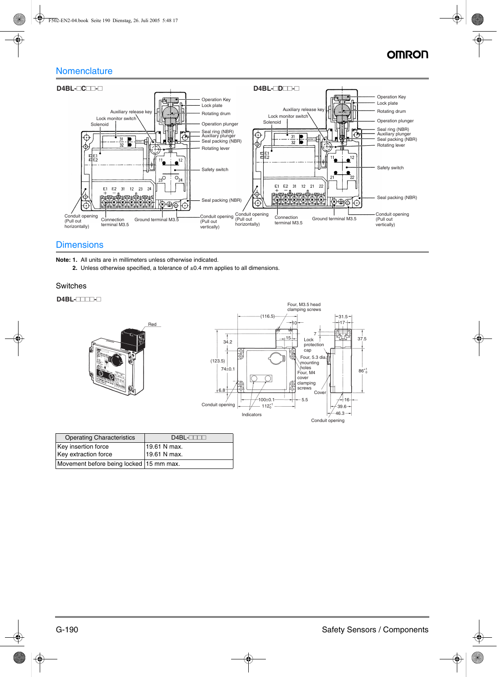### **Nomenclature**



#### **Dimensions**

**Note: 1.** All units are in millimeters unless otherwise indicated.

**2.** Unless otherwise specified, a tolerance of ±0.4 mm applies to all dimensions.

#### Switches

#### **D4BL-** $\Box$  $\Box$



| <b>Operating Characteristics</b>          | $D4BL-TTTT$  |  |
|-------------------------------------------|--------------|--|
| Key insertion force                       | 19.61 N max. |  |
| Key extraction force                      | 19.61 N max. |  |
| Movement before being locked   15 mm max. |              |  |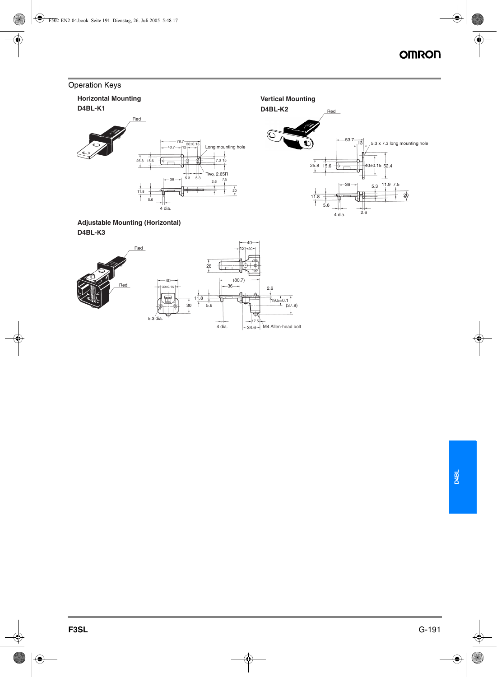### Operation Keys









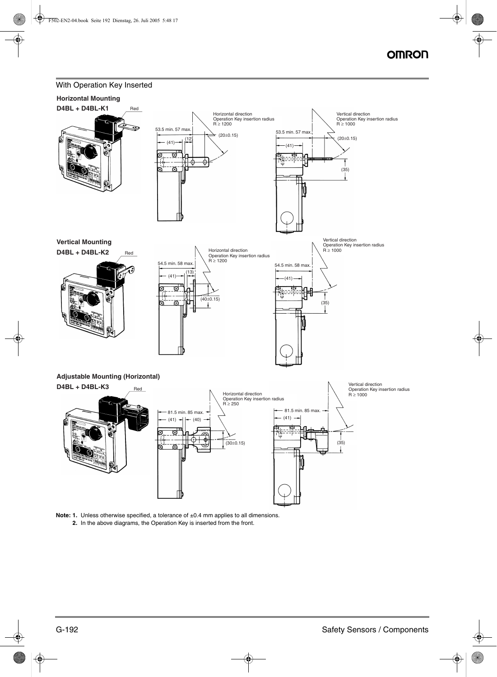#### With Operation Key Inserted

#### **Horizontal Mounting**



Note: 1. Unless otherwise specified, a tolerance of ±0.4 mm applies to all dimensions. **2.** In the above diagrams, the Operation Key is inserted from the front.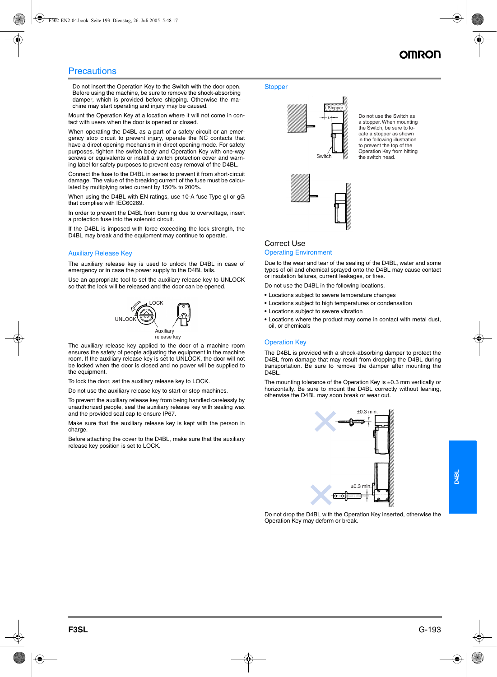#### **Precautions**

Do not insert the Operation Key to the Switch with the door open. Before using the machine, be sure to remove the shock-absorbing damper, which is provided before shipping. Otherwise the machine may start operating and injury may be caused.

Mount the Operation Key at a location where it will not come in contact with users when the door is opened or closed.

When operating the D4BL as a part of a safety circuit or an emergency stop circuit to prevent injury, operate the NC contacts that have a direct opening mechanism in direct opening mode. For safety purposes, tighten the switch body and Operation Key with one-way screws or equivalents or install a switch protection cover and warning label for safety purposes to prevent easy removal of the D4BL.

Connect the fuse to the D4BL in series to prevent it from short-circuit damage. The value of the breaking current of the fuse must be calculated by multiplying rated current by 150% to 200%.

When using the D4BL with EN ratings, use 10-A fuse Type gl or gG that complies with IEC60269.

In order to prevent the D4BL from burning due to overvoltage, insert a protection fuse into the solenoid circuit.

If the D4BL is imposed with force exceeding the lock strength, the D4BL may break and the equipment may continue to operate.

#### Auxiliary Release Key

The auxiliary release key is used to unlock the D4BL in case of emergency or in case the power supply to the D4BL fails.

Use an appropriate tool to set the auxiliary release key to UNLOCK so that the lock will be released and the door can be opened.



The auxiliary release key applied to the door of a machine room ensures the safety of people adjusting the equipment in the machine room. If the auxiliary release key is set to UNLOCK, the door will not be locked when the door is closed and no power will be supplied to the equipment.

To lock the door, set the auxiliary release key to LOCK.

Do not use the auxiliary release key to start or stop machines.

To prevent the auxiliary release key from being handled carelessly by unauthorized people, seal the auxiliary release key with sealing wax and the provided seal cap to ensure IP67.

Make sure that the auxiliary release key is kept with the person in charge.

Before attaching the cover to the D4BL, make sure that the auxiliary release key position is set to LOCK.

#### **Stopper**



Do not use the Switch as a stopper. When mounting the Switch, be sure to locate a stopper as shown in the following illustration to prevent the top of the Operation Key from hitting the switch head.



#### Correct Use Operating Environment

Due to the wear and tear of the sealing of the D4BL, water and some types of oil and chemical sprayed onto the D4BL may cause contact or insulation failures, current leakages, or fires.

Do not use the D4BL in the following locations.

- **•** Locations subject to severe temperature changes
- **•** Locations subject to high temperatures or condensation
- **•** Locations subject to severe vibration
- **•** Locations where the product may come in contact with metal dust, oil, or chemicals

#### Operation Key

The D4BL is provided with a shock-absorbing damper to protect the D4BL from damage that may result from dropping the D4BL during transportation. Be sure to remove the damper after mounting the D<sub>4</sub>BL.

The mounting tolerance of the Operation Key is  $\pm 0.3$  mm vertically or horizontally. Be sure to mount the D4BL correctly without leaning, otherwise the D4BL may soon break or wear out.



Do not drop the D4BL with the Operation Key inserted, otherwise the Operation Key may deform or break.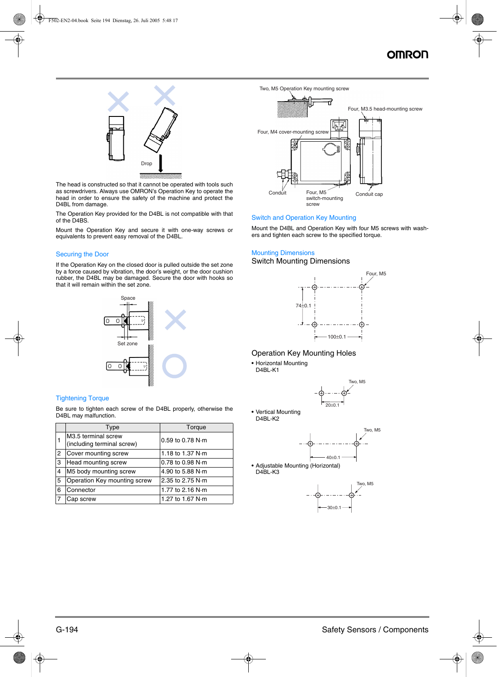

The head is constructed so that it cannot be operated with tools such as screwdrivers. Always use OMRON's Operation Key to operate the head in order to ensure the safety of the machine and protect the D4BL from damage.

The Operation Key provided for the D4BL is not compatible with that of the D4BS.

Mount the Operation Key and secure it with one-way screws or equivalents to prevent easy removal of the D4BL.

#### Securing the Door

If the Operation Key on the closed door is pulled outside the set zone by a force caused by vibration, the door's weight, or the door cushion rubber, the D4BL may be damaged. Secure the door with hooks so that it will remain within the set zone.



#### Tightening Torque

Be sure to tighten each screw of the D4BL properly, otherwise the D4BL may malfunction.

|                | Type                                              | Torque                       |
|----------------|---------------------------------------------------|------------------------------|
|                | M3.5 terminal screw<br>(including terminal screw) | 0.59 to 0.78 N·m             |
| 2              | Cover mounting screw                              | 1.18 to 1.37 N $\cdot$ m     |
| 3              | Head mounting screw                               | $0.78$ to $0.98$ N $\cdot$ m |
| $\overline{4}$ | M5 body mounting screw                            | 4.90 to 5.88 N·m             |
| 5              | Operation Key mounting screw                      | 2.35 to 2.75 N·m             |
| 6              | Connector                                         | 1.77 to 2.16 N·m             |
|                | Cap screw                                         | 1.27 to 1.67 N·m             |



#### Switch and Operation Key Mounting

Mount the D4BL and Operation Key with four M5 screws with washers and tighten each screw to the specified torque.

#### Mounting Dimensions

#### Switch Mounting Dimensions



#### Operation Key Mounting Holes

- **•** Horizontal Mounting
- D4BL-K1



**•** Vertical Mounting D<sub>4</sub>BL-K<sub>2</sub>



**•** Adjustable Mounting (Horizontal) D4BL-K3

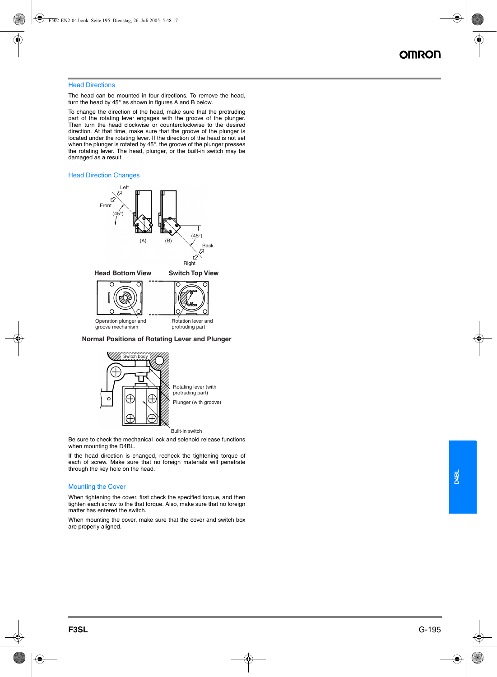#### Head Directions

The head can be mounted in four directions. To remove the head, turn the head by 45° as shown in figures A and B below.

To change the direction of the head, make sure that the protruding part of the rotating lever engages with the groove of the plunger. Then turn the head clockwise or counterclockwise to the desired direction. At that time, make sure that the groove of the plunger is located under the rotating lever. If the direction of the head is not set when the plunger is rotated by 45°, the groove of the plunger presses the rotating lever. The head, plunger, or the built-in switch may be damaged as a result.

#### Head Direction Changes



#### **Normal Positions of Rotating Lever and Plunger**



Be sure to check the mechanical lock and solenoid release functions when mounting the D4BL.

If the head direction is changed, recheck the tightening torque of each of screw. Make sure that no foreign materials will penetrate through the key hole on the head.

#### Mounting the Cover

When tightening the cover, first check the specified torque, and then tighten each screw to the that torque. Also, make sure that no foreign matter has entered the switch.

When mounting the cover, make sure that the cover and switch box are properly aligned.